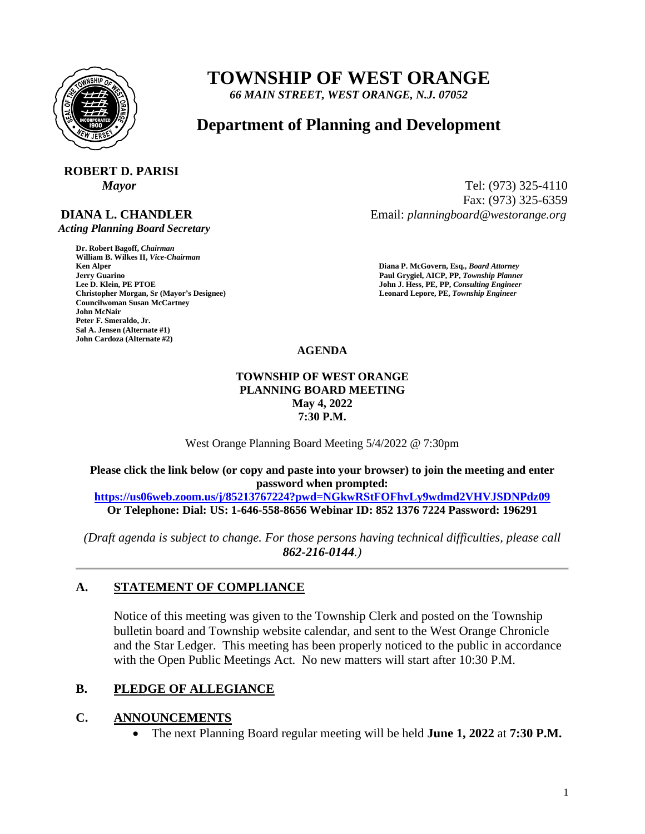

# **TOWNSHIP OF WEST ORANGE**

*66 MAIN STREET, WEST ORANGE, N.J. 07052*

## **Department of Planning and Development**

# **ROBERT D. PARISI**

### **DIANA L. CHANDLER**

 *Acting Planning Board Secretary*

**Dr. Robert Bagoff,** *Chairman*  **William B. Wilkes II,** *Vice-Chairman*  **Faul Grygiel, AICP, PP,** *Township Planner* **Paul Grygiel, AICP, PP,** *Township Planner* **Lee D. Klein, PE PTOE <b>Properties Christopher Morgan, Sr (Mayor's Designee) Leonard Lepore, PE,** *Township Engineer*  **Councilwoman Susan McCartney John McNair Peter F. Smeraldo, Jr. Sal A. Jensen (Alternate #1) John Cardoza (Alternate #2)**

*Mayor* Tel: (973) 325-4110 Fax: (973) 325-6359 Email: *planningboard@westorange.org*

> **Ken Alper****Diana P. McGovern, Esq.,** *Board Attorney*  **John J. Hess, PE, PP,** *Consulting Engineer*

#### **AGENDA**

#### **TOWNSHIP OF WEST ORANGE PLANNING BOARD MEETING May 4, 2022 7:30 P.M.**

West Orange Planning Board Meeting 5/4/2022 @ 7:30pm

**Please click the link below (or copy and paste into your browser) to join the meeting and enter password when prompted: <https://us06web.zoom.us/j/85213767224?pwd=NGkwRStFOFhvLy9wdmd2VHVJSDNPdz09>**

**Or Telephone: Dial: US: 1-646-558-8656 Webinar ID: 852 1376 7224 Password: 196291**

*(Draft agenda is subject to change. For those persons having technical difficulties, please call 862-216-0144.)*

#### **A. STATEMENT OF COMPLIANCE**

Notice of this meeting was given to the Township Clerk and posted on the Township bulletin board and Township website calendar, and sent to the West Orange Chronicle and the Star Ledger. This meeting has been properly noticed to the public in accordance with the Open Public Meetings Act. No new matters will start after 10:30 P.M.

#### **B. PLEDGE OF ALLEGIANCE**

#### **C. ANNOUNCEMENTS**

• The next Planning Board regular meeting will be held **June 1, 2022** at **7:30 P.M.**